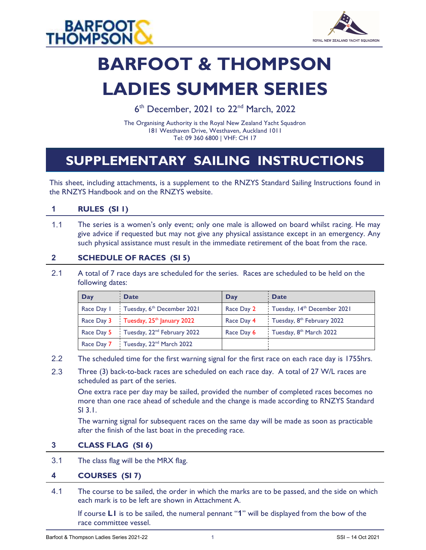



# BARFOOT & THOMPSON LADIES SUMMER SERIES

6<sup>th</sup> December, 2021 to 22<sup>nd</sup> March, 2022

The Organising Authority is the Royal New Zealand Yacht Squadron 181 Westhaven Drive, Westhaven, Auckland 1011 Tel: 09 360 6800 | VHF: CH 17

# SUPPLEMENTARY SAILING INSTRUCTIONS

This sheet, including attachments, is a supplement to the RNZYS Standard Sailing Instructions found in the RNZYS Handbook and on the RNZYS website.

# 1 RULES (SI 1)

 1.1 The series is a women's only event; only one male is allowed on board whilst racing. He may give advice if requested but may not give any physical assistance except in an emergency. Any such physical assistance must result in the immediate retirement of the boat from the race.

#### 2 SCHEDULE OF RACES (SI 5)

 2.1 A total of 7 race days are scheduled for the series. Races are scheduled to be held on the following dates:

| Day | <b>Date</b>                                        | Day        | <b>Date</b>                            |
|-----|----------------------------------------------------|------------|----------------------------------------|
|     | Race Day I Tuesday, 6th December 2021              | Race Day 2 | Tuesday, 14th December 2021            |
|     | Race Day 3 Tuesday, 25 <sup>th</sup> January 2022  | Race Day 4 | Tuesday, 8 <sup>th</sup> February 2022 |
|     | Race Day 5 Tuesday, 22 <sup>nd</sup> February 2022 | Race Day 6 | Tuesday, 8th March 2022                |
|     | Race Day 7 Tuesday, 22 <sup>nd</sup> March 2022    |            |                                        |

- 2.2 The scheduled time for the first warning signal for the first race on each race day is 1755hrs.
- 2.3 Three (3) back-to-back races are scheduled on each race day. A total of 27 W/L races are scheduled as part of the series.

One extra race per day may be sailed, provided the number of completed races becomes no more than one race ahead of schedule and the change is made according to RNZYS Standard SI 3.1.

The warning signal for subsequent races on the same day will be made as soon as practicable after the finish of the last boat in the preceding race.

#### 3 CLASS FLAG (SI 6)

3.1 The class flag will be the MRX flag.

# 4 COURSES (SI 7)

 4.1 The course to be sailed, the order in which the marks are to be passed, and the side on which each mark is to be left are shown in Attachment A.

If course LI is to be sailed, the numeral pennant "1" will be displayed from the bow of the race committee vessel.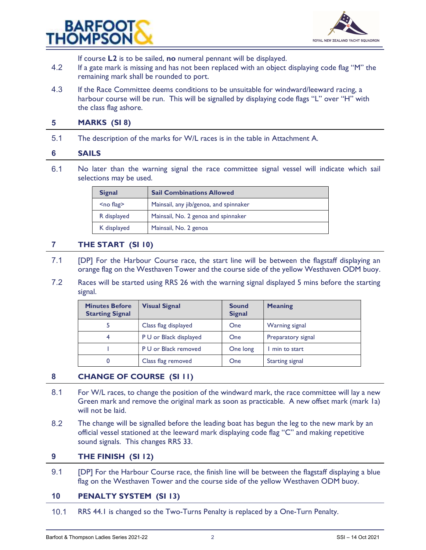



If course **L2** is to be sailed, no numeral pennant will be displayed.

- 4.2 If a gate mark is missing and has not been replaced with an object displaying code flag "M" the remaining mark shall be rounded to port.
- 4.3 If the Race Committee deems conditions to be unsuitable for windward/leeward racing, a harbour course will be run. This will be signalled by displaying code flags "L" over "H" with the class flag ashore.

#### 5 MARKS (SI 8)

5.1 The description of the marks for W/L races is in the table in Attachment A.

#### 6 SAILS

 6.1 No later than the warning signal the race committee signal vessel will indicate which sail selections may be used.

| <b>Signal</b> | <b>Sail Combinations Allowed</b>       |
|---------------|----------------------------------------|
| $no flag>$    | Mainsail, any jib/genoa, and spinnaker |
| R displayed   | Mainsail, No. 2 genoa and spinnaker    |
| K displayed   | Mainsail, No. 2 genoa                  |

#### 7 THE START (SI 10)

- 7.1 [DP] For the Harbour Course race, the start line will be between the flagstaff displaying an orange flag on the Westhaven Tower and the course side of the yellow Westhaven ODM buoy.
- 7.2 Races will be started using RRS 26 with the warning signal displayed 5 mins before the starting signal.

| <b>Minutes Before</b><br><b>Starting Signal</b> | <b>Visual Signal</b>   | <b>Sound</b><br><b>Signal</b> | <b>Meaning</b>         |
|-------------------------------------------------|------------------------|-------------------------------|------------------------|
|                                                 | Class flag displayed   | <b>One</b>                    | Warning signal         |
| 4                                               | P U or Black displayed | <b>One</b>                    | Preparatory signal     |
|                                                 | P U or Black removed   | One long                      | min to start           |
| 0                                               | Class flag removed     | One                           | <b>Starting signal</b> |

# 8 CHANGE OF COURSE (SI 11)

- 8.1 For W/L races, to change the position of the windward mark, the race committee will lay a new Green mark and remove the original mark as soon as practicable. A new offset mark (mark 1a) will not be laid.
- 8.2 The change will be signalled before the leading boat has begun the leg to the new mark by an official vessel stationed at the leeward mark displaying code flag "C" and making repetitive sound signals. This changes RRS 33.

#### 9 THE FINISH (SI 12)

9.1 **[DP]** For the Harbour Course race, the finish line will be between the flagstaff displaying a blue flag on the Westhaven Tower and the course side of the yellow Westhaven ODM buoy.

# 10 PENALTY SYSTEM (SI 13)

10.1 RRS 44.1 is changed so the Two-Turns Penalty is replaced by a One-Turn Penalty.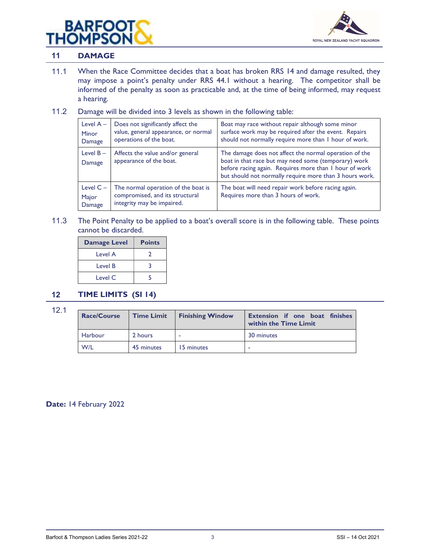



#### 11 DAMAGE

- 11.1 When the Race Committee decides that a boat has broken RRS 14 and damage resulted, they may impose a point's penalty under RRS 44.1 without a hearing. The competitor shall be informed of the penalty as soon as practicable and, at the time of being informed, may request a hearing.
- 11.2 Damage will be divided into 3 levels as shown in the following table:

| Level $A -$<br><b>Minor</b><br>Damage | Does not significantly affect the<br>value, general appearance, or normal<br>operations of the boat. | Boat may race without repair although some minor<br>surface work may be required after the event. Repairs<br>should not normally require more than I hour of work.                                                                  |
|---------------------------------------|------------------------------------------------------------------------------------------------------|-------------------------------------------------------------------------------------------------------------------------------------------------------------------------------------------------------------------------------------|
| Level $B -$<br>Damage                 | Affects the value and/or general<br>appearance of the boat.                                          | The damage does not affect the normal operation of the<br>boat in that race but may need some (temporary) work<br>before racing again. Requires more than I hour of work<br>but should not normally require more than 3 hours work. |
| Level $C -$<br>Major<br>Damage        | The normal operation of the boat is<br>compromised, and its structural<br>integrity may be impaired. | The boat will need repair work before racing again.<br>Requires more than 3 hours of work.                                                                                                                                          |

 11.3 The Point Penalty to be applied to a boat's overall score is in the following table. These points cannot be discarded.

| <b>Damage Level</b> | <b>Points</b> |
|---------------------|---------------|
| Level A             | $\mathcal{L}$ |
| Level B             |               |
| Level C             |               |

# 12 TIME LIMITS (SI 14)

12.1

| <b>Race/Course</b> | <b>Time Limit</b> | <b>Finishing Window</b> | <b>Extension if one boat finishes</b><br>within the Time Limit |
|--------------------|-------------------|-------------------------|----------------------------------------------------------------|
| Harbour            | 2 hours           |                         | 30 minutes                                                     |
| W/L                | 45 minutes        | 15 minutes              |                                                                |

Date: 14 February 2022